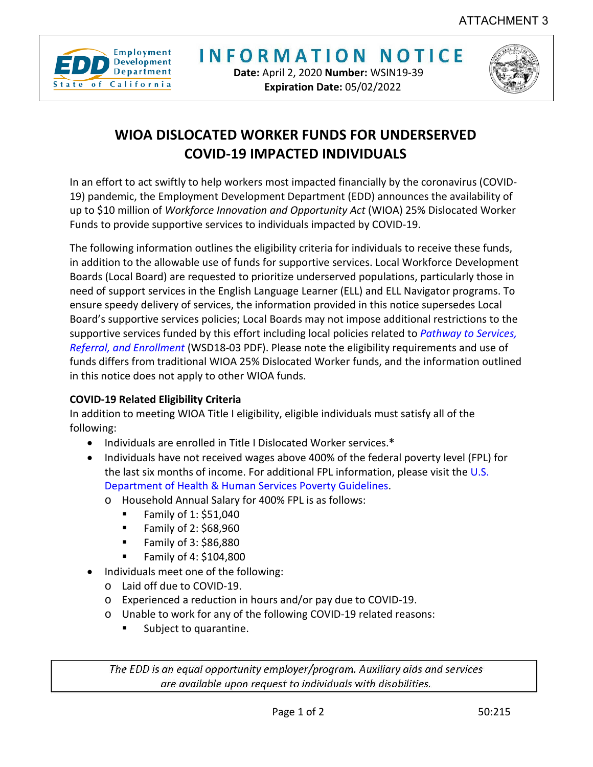

**INFORMATION NOTICE** 

**Date:** April 2, 2020 **Number:** WSIN19-39 **Expiration Date:** 05/02/2022



## **WIOA DISLOCATED WORKER FUNDS FOR UNDERSERVED COVID-19 IMPACTED INDIVIDUALS**

In an effort to act swiftly to help workers most impacted financially by the coronavirus (COVID-19) pandemic, the Employment Development Department (EDD) announces the availability of up to \$10 million of *Workforce Innovation and Opportunity Act* (WIOA) 25% Dislocated Worker Funds to provide supportive services to individuals impacted by COVID-19.

The following information outlines the eligibility criteria for individuals to receive these funds, in addition to the allowable use of funds for supportive services. Local Workforce Development Boards (Local Board) are requested to prioritize underserved populations, particularly those in need of support services in the English Language Learner (ELL) and ELL Navigator programs. To ensure speedy delivery of services, the information provided in this notice supersedes Local Board's supportive services policies; Local Boards may not impose additional restrictions to the supportive services funded by this effort including local policies related to *[Pathway to Services,](https://www.edd.ca.gov/Jobs_and_Training/pubs/wsd18-03.pdf)  [Referral, and Enrollment](https://www.edd.ca.gov/Jobs_and_Training/pubs/wsd18-03.pdf)* (WSD18-03 PDF). Please note the eligibility requirements and use of funds differs from traditional WIOA 25% Dislocated Worker funds, and the information outlined in this notice does not apply to other WIOA funds.

## **COVID-19 Related Eligibility Criteria**

In addition to meeting WIOA Title I eligibility, eligible individuals must satisfy all of the following:

- Individuals are enrolled in Title I Dislocated Worker services.**\***
- Individuals have not received wages above 400% of the federal poverty level (FPL) for the last six months of income. For additional FPL information, please visit the [U.S.](https://aspe.hhs.gov/prior-hhs-poverty-guidelines-and-federal-register-references) [Department of Health & Human Services Poverty Guidelines.](https://aspe.hhs.gov/prior-hhs-poverty-guidelines-and-federal-register-references)
	- o Household Annual Salary for 400% FPL is as follows:
		- Family of 1:  $$51,040$
		- $\blacksquare$  Family of 2: \$68.960
		- Family of  $3: $86,880$
		- Family of 4: \$104,800
- Individuals meet one of the following:
	- o Laid off due to COVID-19.
	- o Experienced a reduction in hours and/or pay due to COVID-19.
	- o Unable to work for any of the following COVID-19 related reasons:
		- Subject to quarantine.

The EDD is an equal opportunity employer/program. Auxiliary aids and services are available upon request to individuals with disabilities.